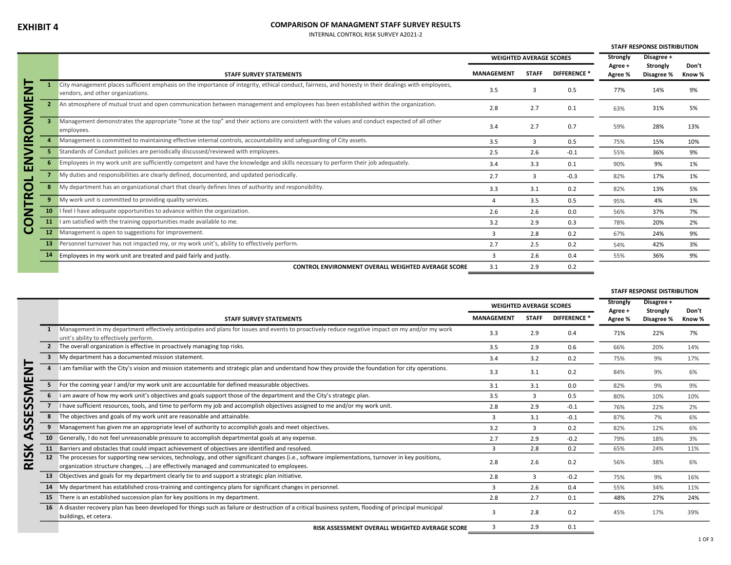## COMPARISON OF MANAGMENT STAFF SURVEY RESULTS

INTERNAL CONTROL RISK SURVEY A2021-2

|        |           |                                                                                                                                                                                          |                   |                                |                    | <b>STAFF RESPONSE DISTRIBUTION</b> |                        |                 |  |
|--------|-----------|------------------------------------------------------------------------------------------------------------------------------------------------------------------------------------------|-------------------|--------------------------------|--------------------|------------------------------------|------------------------|-----------------|--|
|        |           |                                                                                                                                                                                          |                   | <b>WEIGHTED AVERAGE SCORES</b> |                    |                                    | Disagree +             |                 |  |
|        |           | <b>STAFF SURVEY STATEMENTS</b>                                                                                                                                                           | <b>MANAGEMENT</b> | <b>STAFF</b>                   | <b>DIFFERENCE*</b> | Agree +<br>Agree %                 | Strongly<br>Disagree % | Don't<br>Know % |  |
| Ξ      |           | City management places sufficient emphasis on the importance of integrity, ethical conduct, fairness, and honesty in their dealings with employees,<br>vendors, and other organizations. | 3.5               | $\mathbf{R}$                   | 0.5                | 77%                                | 14%                    | 9%              |  |
| E<br>≌ |           | An atmosphere of mutual trust and open communication between management and employees has been established within the organization.                                                      | 2.8               | 2.7                            | 0.1                | 63%                                | 31%                    | 5%              |  |
| Z<br>O |           | Management demonstrates the appropriate "tone at the top" and their actions are consistent with the values and conduct expected of all other<br>employees.                               | 3.4               | 2.7                            | 0.7                | 59%                                | 28%                    | 13%             |  |
| ≃      |           | Management is committed to maintaining effective internal controls, accountability and safeguarding of City assets.                                                                      | 3.5               | 3                              | 0.5                | 75%                                | 15%                    | 10%             |  |
|        |           | Standards of Conduct policies are periodically discussed/reviewed with employees.                                                                                                        | 2.5               | 2.6                            | $-0.1$             | 55%                                | 36%                    | 9%              |  |
| Z<br>ш |           | Employees in my work unit are sufficiently competent and have the knowledge and skills necessary to perform their job adequately.                                                        | 3.4               | 3.3                            | 0.1                | 90%                                | 9%                     | 1%              |  |
|        |           | My duties and responsibilities are clearly defined, documented, and updated periodically.                                                                                                | 2.7               | 3                              | $-0.3$             | 82%                                | 17%                    | 1%              |  |
| O      |           | My department has an organizational chart that clearly defines lines of authority and responsibility.                                                                                    | 3.3               | 3.1                            | 0.2                | 82%                                | 13%                    | 5%              |  |
| ۴      | q         | My work unit is committed to providing quality services.                                                                                                                                 | Δ                 | 3.5                            | 0.5                | 95%                                | 4%                     | 1%              |  |
| ╱      |           | feel I have adequate opportunities to advance within the organization.                                                                                                                   | 2.6               | 2.6                            | 0.0                | 56%                                | 37%                    | 7%              |  |
| O      |           | am satisfied with the training opportunities made available to me.                                                                                                                       | 3.2               | 2.9                            | 0.3                | 78%                                | 20%                    | 2%              |  |
| Ő      | 12        | Management is open to suggestions for improvement.                                                                                                                                       | 3                 | 2.8                            | 0.2                | 67%                                | 24%                    | 9%              |  |
|        | <b>13</b> | Personnel turnover has not impacted my, or my work unit's, ability to effectively perform.                                                                                               | 2.7               | 2.5                            | 0.2                | 54%                                | 42%                    | 3%              |  |
|        |           | Employees in my work unit are treated and paid fairly and justly.                                                                                                                        | 3                 | 2.6                            | 0.4                | 55%                                | 36%                    | 9%              |  |
|        |           | <b>CONTROL ENVIRONMENT OVERALL WEIGHTED AVERAGE SCORE</b>                                                                                                                                | 3.1               | 2.9                            | 0.2                |                                    |                        |                 |  |

|                                     |    |                                                                                                                                                                                                                                              |                                |              |                    |                     | <b>STAFF RESPONSE DISTRIBUTION</b> |        |  |
|-------------------------------------|----|----------------------------------------------------------------------------------------------------------------------------------------------------------------------------------------------------------------------------------------------|--------------------------------|--------------|--------------------|---------------------|------------------------------------|--------|--|
|                                     |    |                                                                                                                                                                                                                                              | <b>WEIGHTED AVERAGE SCORES</b> |              |                    | Strongly<br>Agree + | Disagree +<br>Strongly             | Don't  |  |
|                                     |    | <b>STAFF SURVEY STATEMENTS</b>                                                                                                                                                                                                               | <b>MANAGEMENT</b>              | <b>STAFF</b> | <b>DIFFERENCE*</b> | Agree %             | Disagree %                         | Know % |  |
|                                     |    | Management in my department effectively anticipates and plans for issues and events to proactively reduce negative impact on my and/or my work<br>unit's ability to effectively perform.                                                     | 3.3                            | 2.9          | 0.4                | 71%                 | 22%                                | 7%     |  |
|                                     |    | 2 The overall organization is effective in proactively managing top risks.                                                                                                                                                                   | 3.5                            | 2.9          | 0.6                | 66%                 | 20%                                | 14%    |  |
|                                     |    | My department has a documented mission statement.                                                                                                                                                                                            | 3.4                            | 3.2          | 0.2                | 75%                 | 9%                                 | 17%    |  |
| Ξ<br>ш                              |    | I am familiar with the City's vision and mission statements and strategic plan and understand how they provide the foundation for city operations.                                                                                           | 3.3                            | 3.1          | 0.2                | 84%                 | 9%                                 | 6%     |  |
| $\blacktriangledown$                | 5. | For the coming year I and/or my work unit are accountable for defined measurable objectives.                                                                                                                                                 | 3.1                            | 3.1          | 0.0                | 82%                 | 9%                                 | 9%     |  |
| ⊆<br>ທ                              |    | I am aware of how my work unit's objectives and goals support those of the department and the City's strategic plan.                                                                                                                         | 3.5                            | 3            | 0.5                | 80%                 | 10%                                | 10%    |  |
| ഗ                                   |    | I have sufficient resources, tools, and time to perform my job and accomplish objectives assigned to me and/or my work unit.                                                                                                                 | 2.8                            | 2.9          | $-0.1$             | 76%                 | 22%                                | 2%     |  |
| ш<br>v                              |    | The objectives and goals of my work unit are reasonable and attainable.                                                                                                                                                                      | 3                              | 3.1          | $-0.1$             | 87%                 | 7%                                 | 6%     |  |
| ທ                                   |    | Management has given me an appropriate level of authority to accomplish goals and meet objectives.                                                                                                                                           | 3.2                            | 3            | 0.2                | 82%                 | 12%                                | 6%     |  |
| ⋖                                   | 10 | Generally, I do not feel unreasonable pressure to accomplish departmental goals at any expense.                                                                                                                                              | 2.7                            | 2.9          | $-0.2$             | 79%                 | 18%                                | 3%     |  |
| ⊻                                   | 11 | Barriers and obstacles that could impact achievement of objectives are identified and resolved.                                                                                                                                              | $\mathbf{a}$                   | 2.8          | 0.2                | 65%                 | 24%                                | 11%    |  |
| $\overline{\mathbf{v}}$<br>$\alpha$ | 12 | The processes for supporting new services, technology, and other significant changes (i.e., software implementations, turnover in key positions,<br>organization structure changes, ) are effectively managed and communicated to employees. | 2.8                            | 2.6          | 0.2                | 56%                 | 38%                                | 6%     |  |
|                                     |    | Objectives and goals for my department clearly tie to and support a strategic plan initiative.                                                                                                                                               | 2.8                            | 3            | $-0.2$             | 75%                 | 9%                                 | 16%    |  |
|                                     |    | 14 My department has established cross-training and contingency plans for significant changes in personnel.                                                                                                                                  | $\mathbf{R}$                   | 2.6          | 0.4                | 55%                 | 34%                                | 11%    |  |
|                                     |    | 15 There is an established succession plan for key positions in my department.                                                                                                                                                               | 2.8                            | 2.7          | 0.1                | 48%                 | 27%                                | 24%    |  |
|                                     |    | 16 A disaster recovery plan has been developed for things such as failure or destruction of a critical business system, flooding of principal municipal<br>buildings, et cetera.                                                             | з                              | 2.8          | 0.2                | 45%                 | 17%                                | 39%    |  |
|                                     |    | RISK ASSESSMENT OVERALL WEIGHTED AVERAGE SCORE                                                                                                                                                                                               |                                | 2.9          | 0.1                |                     |                                    |        |  |
|                                     |    |                                                                                                                                                                                                                                              |                                |              |                    |                     |                                    |        |  |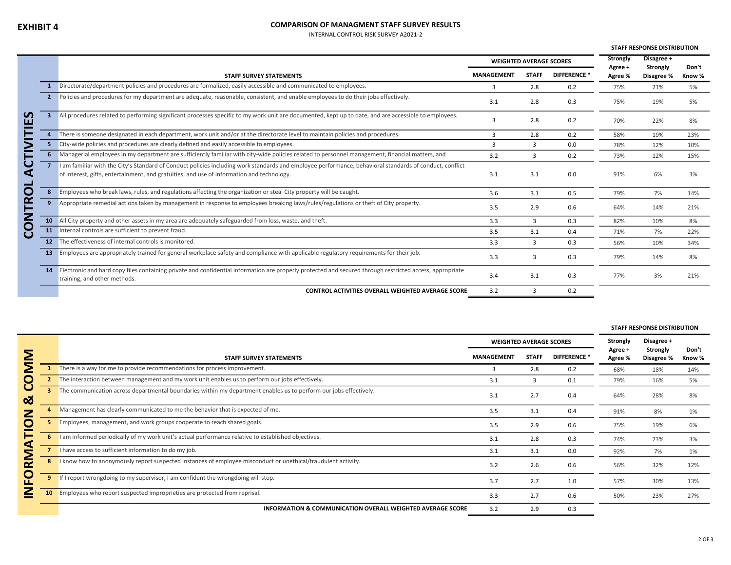## COMPARISON OF MANAGMENT STAFF SURVEY RESULTS

INTERNAL CONTROL RISK SURVEY A2021-2

|                         |                |                                                                                                                                                                                                                                                      |                   |                                |              | <b>STAFF RESPONSE DISTRIBUTION</b> |                        |        |
|-------------------------|----------------|------------------------------------------------------------------------------------------------------------------------------------------------------------------------------------------------------------------------------------------------------|-------------------|--------------------------------|--------------|------------------------------------|------------------------|--------|
|                         |                |                                                                                                                                                                                                                                                      |                   | <b>WEIGHTED AVERAGE SCORES</b> |              |                                    | Disagree +             | Don't  |
|                         |                | <b>STAFF SURVEY STATEMENTS</b>                                                                                                                                                                                                                       | <b>MANAGEMENT</b> | <b>STAFF</b>                   | DIFFERENCE * | Agree +<br>Agree %                 | Strongly<br>Disagree % | Know % |
|                         |                | Directorate/department policies and procedures are formalized, easily accessible and communicated to employees.                                                                                                                                      | 3                 | 2.8                            | 0.2          | 75%                                | 21%                    | 5%     |
|                         | 2 <sup>2</sup> | Policies and procedures for my department are adequate, reasonable, consistent, and enable employees to do their jobs effectively.                                                                                                                   | 3.1               | 2.8                            | 0.3          | 75%                                | 19%                    | 5%     |
| <b>S</b><br>ш           |                | All procedures related to performing significant processes specific to my work unit are documented, kept up to date, and are accessible to employees.                                                                                                | 3                 | 2.8                            | 0.2          | 70%                                | 22%                    | 8%     |
|                         |                | There is someone designated in each department, work unit and/or at the directorate level to maintain policies and procedures.                                                                                                                       | 3                 | 2.8                            | 0.2          | 58%                                | 19%                    | 23%    |
|                         |                | City-wide policies and procedures are clearly defined and easily accessible to employees.                                                                                                                                                            | $\mathbf{a}$      | $\mathbf{a}$                   | 0.0          | 78%                                | 12%                    | 10%    |
|                         |                | Managerial employees in my department are sufficiently familiar with city-wide policies related to personnel management, financial matters, and                                                                                                      | 3.2               | 3                              | 0.2          | 73%                                | 12%                    | 15%    |
| 9<br>⋖<br>e de la provi |                | I am familiar with the City's Standard of Conduct policies including work standards and employee performance, behavioral standards of conduct, conflict<br>of interest, gifts, entertainment, and gratuities, and use of information and technology. | 3.1               | 3.1                            | 0.0          | 91%                                | 6%                     | 3%     |
| O                       |                | Employees who break laws, rules, and regulations affecting the organization or steal City property will be caught.                                                                                                                                   | 3.6               | 3.1                            | 0.5          | 79%                                | 7%                     | 14%    |
| Ē                       |                | Appropriate remedial actions taken by management in response to employees breaking laws/rules/regulations or theft of City property.                                                                                                                 | 3.5               | 2.9                            | 0.6          | 64%                                | 14%                    | 21%    |
| Z                       |                | 10 All City property and other assets in my area are adequately safeguarded from loss, waste, and theft.                                                                                                                                             | 3.3               | 3                              | 0.3          | 82%                                | 10%                    | 8%     |
| O<br>ပ                  |                | 11 Internal controls are sufficient to prevent fraud.                                                                                                                                                                                                | 3.5               | 3.1                            | 0.4          | 71%                                | 7%                     | 22%    |
|                         |                | 12 The effectiveness of internal controls is monitored.                                                                                                                                                                                              | 3.3               | $\overline{3}$                 | 0.3          | 56%                                | 10%                    | 34%    |
|                         | 13             | Employees are appropriately trained for general workplace safety and compliance with applicable regulatory requirements for their job.                                                                                                               | 3.3               | 3                              | 0.3          | 79%                                | 14%                    | 8%     |
|                         |                | 14 Electronic and hard copy files containing private and confidential information are properly protected and secured through restricted access, appropriate<br>training, and other methods.                                                          | 3.4               | 3.1                            | 0.3          | 77%                                | 3%                     | 21%    |
|                         |                | CONTROL ACTIVITIES OVERALL WEIGHTED AVERAGE SCORE                                                                                                                                                                                                    | 3.2               |                                | 0.2          |                                    |                        |        |
|                         |                |                                                                                                                                                                                                                                                      |                   |                                |              |                                    |                        |        |

|        |    |                                                                                                                   |                                |              |              |                    | <b>STAFF RESPONSE DISTRIBUTION</b> |                 |  |  |
|--------|----|-------------------------------------------------------------------------------------------------------------------|--------------------------------|--------------|--------------|--------------------|------------------------------------|-----------------|--|--|
|        |    |                                                                                                                   | <b>WEIGHTED AVERAGE SCORES</b> |              |              | Strongly           | Disagree +                         |                 |  |  |
| Σ      |    | <b>STAFF SURVEY STATEMENTS</b>                                                                                    | <b>MANAGEMENT</b>              | <b>STAFF</b> | DIFFERENCE * | Agree +<br>Agree % | Strongly<br>Disagree %             | Don't<br>Know % |  |  |
|        |    | There is a way for me to provide recommendations for process improvement.                                         | з                              | 2.8          | 0.2          | 68%                | 18%                                | 14%             |  |  |
| 0      |    | The interaction between management and my work unit enables us to perform our jobs effectively.                   | 3.1                            | 3            | 0.1          | 79%                | 16%                                | 5%              |  |  |
| ఱ      |    | The communication across departmental boundaries within my department enables us to perform our jobs effectively. | 3.1                            | 2.7          | 0.4          | 64%                | 28%                                | 8%              |  |  |
| Ζ      |    | Management has clearly communicated to me the behavior that is expected of me.                                    | 3.5                            | 3.1          | 0.4          | 91%                | 8%                                 | 1%              |  |  |
|        |    | Employees, management, and work groups cooperate to reach shared goals.                                           | 3.5                            | 2.9          | 0.6          | 75%                | 19%                                | 6%              |  |  |
| ₫      | 6  | I am informed periodically of my work unit's actual performance relative to established objectives.               | 3.1                            | 2.8          | 0.3          | 74%                | 23%                                | 3%              |  |  |
| ਵ      |    | I have access to sufficient information to do my job.                                                             | 3.1                            | 3.1          | 0.0          | 92%                | 7%                                 | 1%              |  |  |
| 空      | 8  | I know how to anonymously report suspected instances of employee misconduct or unethical/fraudulent activity.     | 3.2                            | 2.6          | 0.6          | 56%                | 32%                                | 12%             |  |  |
| 0<br>┗ | 9  | If I report wrongdoing to my supervisor, I am confident the wrongdoing will stop.                                 | 3.7                            | 2.7          | 1.0          | 57%                | 30%                                | 13%             |  |  |
|        | 10 | Employees who report suspected improprieties are protected from reprisal.                                         | 3.3                            | 2.7          | 0.6          | 50%                | 23%                                | 27%             |  |  |
|        |    | <b>INFORMATION &amp; COMMUNICATION OVERALL WEIGHTED AVERAGE SCORE</b>                                             | 3.2                            | 2.9          | 0.3          |                    |                                    |                 |  |  |